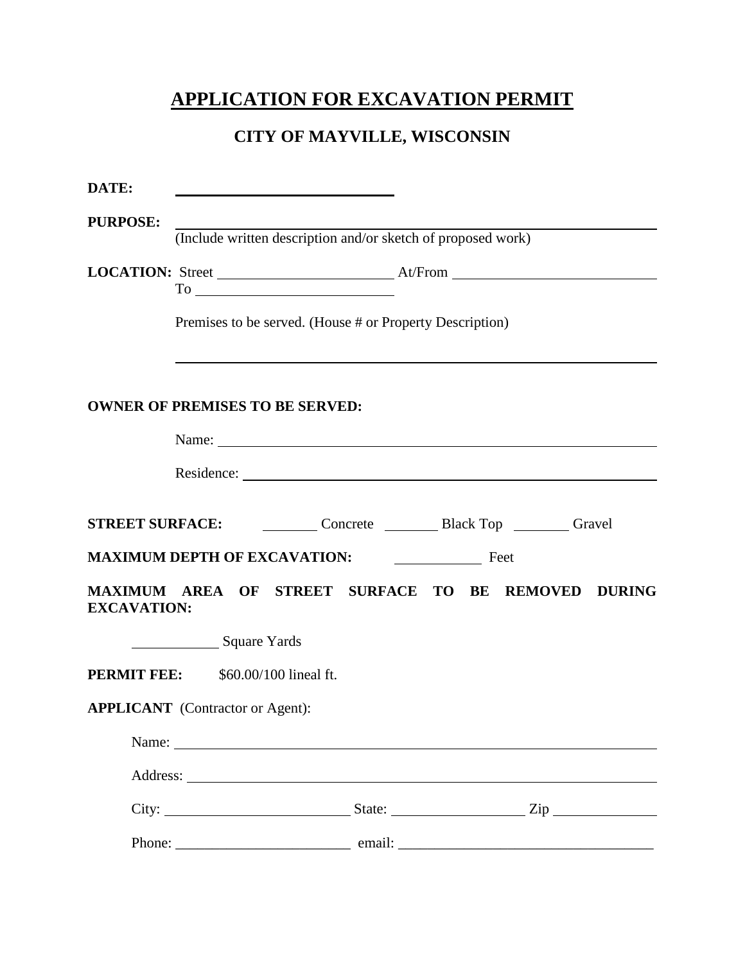## **APPLICATION FOR EXCAVATION PERMIT**

## **CITY OF MAYVILLE, WISCONSIN**

| DATE:              |                                                              |  |  |  |  |  |
|--------------------|--------------------------------------------------------------|--|--|--|--|--|
| <b>PURPOSE:</b>    | (Include written description and/or sketch of proposed work) |  |  |  |  |  |
|                    |                                                              |  |  |  |  |  |
|                    | Premises to be served. (House # or Property Description)     |  |  |  |  |  |
|                    |                                                              |  |  |  |  |  |
|                    | <b>OWNER OF PREMISES TO BE SERVED:</b>                       |  |  |  |  |  |
|                    | Name: Name:                                                  |  |  |  |  |  |
|                    |                                                              |  |  |  |  |  |
|                    |                                                              |  |  |  |  |  |
|                    | STREET SURFACE: Concrete Black Top Cravel                    |  |  |  |  |  |
|                    | MAXIMUM DEPTH OF EXCAVATION: <u>_______________</u> Feet     |  |  |  |  |  |
| <b>EXCAVATION:</b> | MAXIMUM AREA OF STREET SURFACE TO BE REMOVED DURING          |  |  |  |  |  |
|                    | Square Yards                                                 |  |  |  |  |  |
|                    | <b>PERMIT FEE:</b> \$60.00/100 lineal ft.                    |  |  |  |  |  |
|                    | <b>APPLICANT</b> (Contractor or Agent):                      |  |  |  |  |  |
|                    |                                                              |  |  |  |  |  |
|                    |                                                              |  |  |  |  |  |
|                    |                                                              |  |  |  |  |  |
|                    |                                                              |  |  |  |  |  |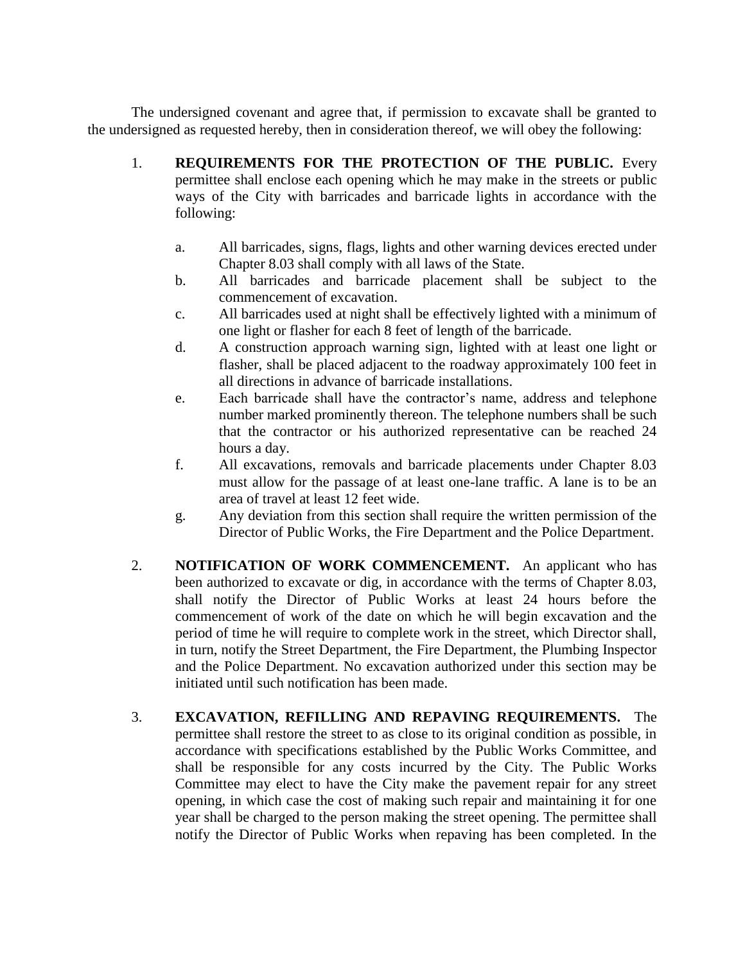The undersigned covenant and agree that, if permission to excavate shall be granted to the undersigned as requested hereby, then in consideration thereof, we will obey the following:

- 1. **REQUIREMENTS FOR THE PROTECTION OF THE PUBLIC.** Every permittee shall enclose each opening which he may make in the streets or public ways of the City with barricades and barricade lights in accordance with the following:
	- a. All barricades, signs, flags, lights and other warning devices erected under Chapter 8.03 shall comply with all laws of the State.
	- b. All barricades and barricade placement shall be subject to the commencement of excavation.
	- c. All barricades used at night shall be effectively lighted with a minimum of one light or flasher for each 8 feet of length of the barricade.
	- d. A construction approach warning sign, lighted with at least one light or flasher, shall be placed adjacent to the roadway approximately 100 feet in all directions in advance of barricade installations.
	- e. Each barricade shall have the contractor's name, address and telephone number marked prominently thereon. The telephone numbers shall be such that the contractor or his authorized representative can be reached 24 hours a day.
	- f. All excavations, removals and barricade placements under Chapter 8.03 must allow for the passage of at least one-lane traffic. A lane is to be an area of travel at least 12 feet wide.
	- g. Any deviation from this section shall require the written permission of the Director of Public Works, the Fire Department and the Police Department.
- 2. **NOTIFICATION OF WORK COMMENCEMENT.** An applicant who has been authorized to excavate or dig, in accordance with the terms of Chapter 8.03, shall notify the Director of Public Works at least 24 hours before the commencement of work of the date on which he will begin excavation and the period of time he will require to complete work in the street, which Director shall, in turn, notify the Street Department, the Fire Department, the Plumbing Inspector and the Police Department. No excavation authorized under this section may be initiated until such notification has been made.
- 3. **EXCAVATION, REFILLING AND REPAVING REQUIREMENTS.** The permittee shall restore the street to as close to its original condition as possible, in accordance with specifications established by the Public Works Committee, and shall be responsible for any costs incurred by the City. The Public Works Committee may elect to have the City make the pavement repair for any street opening, in which case the cost of making such repair and maintaining it for one year shall be charged to the person making the street opening. The permittee shall notify the Director of Public Works when repaving has been completed. In the